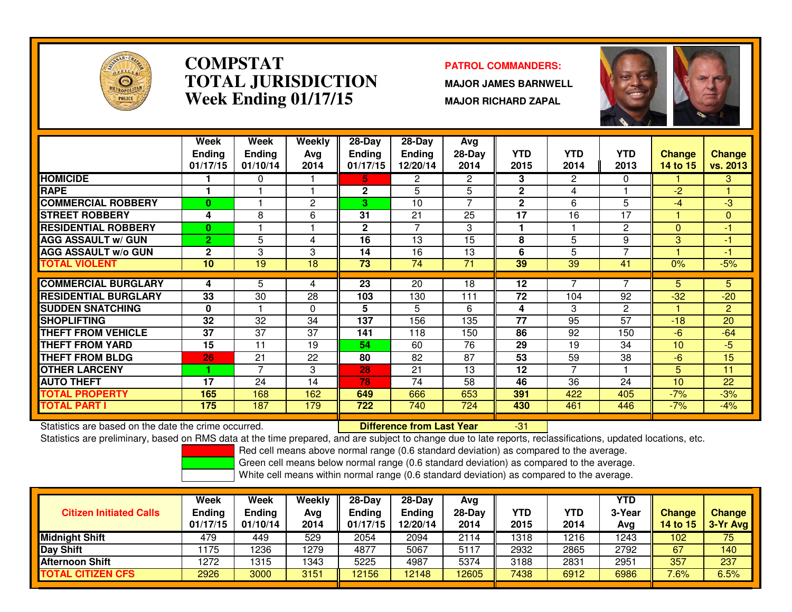

# **COMPSTAT PATROL COMMANDERS: TOTAL JURISDICTIONWeek Ending 01/17/15**

**MAJOR JAMES BARNWELL**

**MAJOR RICHARD ZAPAL**

-31



|                             | Week            | Week          | Weekly         | $28 - Day$    | $28 - Day$     | Avg            |              |                 |                 |          |                |
|-----------------------------|-----------------|---------------|----------------|---------------|----------------|----------------|--------------|-----------------|-----------------|----------|----------------|
|                             | <b>Ending</b>   | <b>Ending</b> | Ava            | <b>Ending</b> | <b>Ending</b>  | 28-Day         | <b>YTD</b>   | <b>YTD</b>      | <b>YTD</b>      | Change   | <b>Change</b>  |
|                             | 01/17/15        | 01/10/14      | 2014           | 01/17/15      | 12/20/14       | 2014           | 2015         | 2014            | 2013            | 14 to 15 | vs. 2013       |
| <b>HOMICIDE</b>             |                 | 0             |                | 5.            | $\overline{2}$ | $\overline{2}$ | 3            | $\overline{2}$  | 0               |          | 3              |
| <b>RAPE</b>                 |                 |               |                | $\mathbf{2}$  | 5              | 5              | $\mathbf{2}$ | 4               |                 | $-2$     |                |
| <b>COMMERCIAL ROBBERY</b>   | $\mathbf{0}$    |               | $\overline{2}$ | 3             | 10             | 7              | $\mathbf{2}$ | 6               | 5               | $-4$     | $-3$           |
| <b>ISTREET ROBBERY</b>      | 4               | 8             | 6              | 31            | 21             | 25             | 17           | 16              | 17              |          | $\Omega$       |
| <b>RESIDENTIAL ROBBERY</b>  | $\mathbf{0}$    |               |                | $\mathbf{2}$  | 7              | 3              |              |                 | 2               | $\Omega$ | -1             |
| <b>AGG ASSAULT w/ GUN</b>   | $\overline{2}$  | 5             | 4              | 16            | 13             | 15             | 8            | 5               | 9               | 3        | -1             |
| <b>AGG ASSAULT w/o GUN</b>  | $\mathbf{2}$    | 3             | 3              | 14            | 16             | 13             | 6            | 5               | $\overline{ }$  |          | -1             |
| <b>TOTAL VIOLENT</b>        | 10              | 19            | 18             | 73            | 74             | 71             | 39           | 39              | 41              | 0%       | $-5%$          |
| <b>COMMERCIAL BURGLARY</b>  | 4               | 5.            | 4              | 23            | 20             | 18             | 12           |                 |                 | 5.       | 5.             |
| <b>RESIDENTIAL BURGLARY</b> | 33              | 30            | 28             | 103           | 130            | 111            | 72           | 104             | 92              | $-32$    | $-20$          |
| <b>SUDDEN SNATCHING</b>     | 0               |               | $\Omega$       | 5             | 5              | 6              | 4            | 3               | $\mathbf{2}$    |          | $\overline{2}$ |
|                             | $\overline{32}$ |               |                |               |                |                |              | $\overline{95}$ | $\overline{57}$ |          |                |
| <b>SHOPLIFTING</b>          |                 | 32            | 34             | 137           | 156            | 135            | 77           |                 |                 | $-18$    | 20             |
| <b>THEFT FROM VEHICLE</b>   | 37              | 37            | 37             | 141           | 118            | 150            | 86           | 92              | 150             | $-6$     | $-64$          |
| <b>THEFT FROM YARD</b>      | 15              | 11            | 19             | 54            | 60             | 76             | 29           | 19              | 34              | 10       | $-5$           |
| <b>THEFT FROM BLDG</b>      | 26              | 21            | 22             | 80            | 82             | 87             | 53           | 59              | 38              | $-6$     | 15             |
| <b>OTHER LARCENY</b>        |                 | 7             | 3              | 28            | 21             | 13             | 12           | 7               |                 | 5        | 11             |
| <b>AUTO THEFT</b>           | 17              | 24            | 14             | 78            | 74             | 58             | 46           | 36              | 24              | 10       | 22             |
| <b>TOTAL PROPERTY</b>       | 165             | 168           | 162            | 649           | 666            | 653            | 391          | 422             | 405             | $-7%$    | $-3%$          |
| <b>TOTAL PART I</b>         | 175             | 187           | 179            | 722           | 740            | 724            | 430          | 461             | 446             | $-7%$    | $-4%$          |

Statistics are based on the date the crime occurred. **Difference from Last Year** 

Statistics are preliminary, based on RMS data at the time prepared, and are subject to change due to late reports, reclassifications, updated locations, etc.

Red cell means above normal range (0.6 standard deviation) as compared to the average.

Green cell means below normal range (0.6 standard deviation) as compared to the average.

| <b>Citizen Initiated Calls</b> | Week<br><b>Ending</b><br>01/17/15 | <b>Week</b><br><b>Ending</b><br>01/10/14 | Weekly<br>Avg<br>2014 | $28-Dav$<br><b>Ending</b><br>01/17/15 | $28-Day$<br><b>Ending</b><br>12/20/14 | Avg<br>$28-Day$<br>2014 | YTD<br>2015 | <b>YTD</b><br>2014 | YTD<br>3-Year<br>Avg | <b>Change</b><br>14 to 15 | <b>Change</b><br>3-Yr Avg |
|--------------------------------|-----------------------------------|------------------------------------------|-----------------------|---------------------------------------|---------------------------------------|-------------------------|-------------|--------------------|----------------------|---------------------------|---------------------------|
| <b>Midnight Shift</b>          | 479                               | 449                                      | 529                   | 2054                                  | 2094                                  | 2114                    | 1318        | 1216               | 1243                 | 102                       | 75                        |
| <b>Day Shift</b>               | 1175                              | 236                                      | 1279                  | 4877                                  | 5067                                  | 5117                    | 2932        | 2865               | 2792                 | 67                        | 140                       |
| IAfternoon Shift               | 1272                              | 315                                      | 1343                  | 5225                                  | 4987                                  | 5374                    | 3188        | 2831               | 2951                 | 357                       | 237                       |
| <b>TOTAL CITIZEN CFS</b>       | 2926                              | 3000                                     | 3151                  | 12156                                 | 12148                                 | 12605                   | 7438        | 6912               | 6986                 | 7.6%                      | 6.5%                      |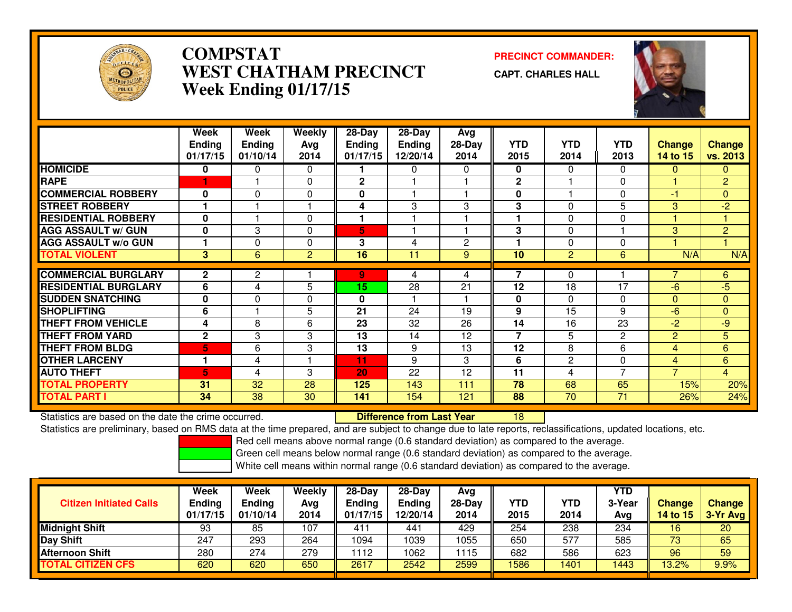

## **COMPSTAT PRECINCT COMMANDER: WEST CHATHAM PRECINCTWeek Ending 01/17/15**

**CAPT. CHARLES HALL**



|                             | Week          | Week           | Weekly         | $28 - Day$   | $28 - Day$    | Avg    |              |                |                |                |                |
|-----------------------------|---------------|----------------|----------------|--------------|---------------|--------|--------------|----------------|----------------|----------------|----------------|
|                             | <b>Ending</b> | <b>Ending</b>  | Avg            | Ending       | <b>Ending</b> | 28-Day | <b>YTD</b>   | <b>YTD</b>     | <b>YTD</b>     | <b>Change</b>  | <b>Change</b>  |
|                             | 01/17/15      | 01/10/14       | 2014           | 01/17/15     | 12/20/14      | 2014   | 2015         | 2014           | 2013           | 14 to 15       | vs. 2013       |
| <b>HOMICIDE</b>             | 0             | $\Omega$       | $\Omega$       |              | $\Omega$      | 0      | 0            | 0              | $\Omega$       | $\mathbf{0}$   | $\mathbf{0}$   |
| <b>RAPE</b>                 |               |                | $\Omega$       | $\mathbf{2}$ |               |        | $\mathbf{2}$ |                | $\Omega$       |                | $\overline{2}$ |
| <b>COMMERCIAL ROBBERY</b>   | $\bf{0}$      | $\Omega$       | 0              | 0            |               |        | $\bf{0}$     |                | $\Omega$       | -1             | $\mathbf{0}$   |
| <b>STREET ROBBERY</b>       |               |                |                | 4            | 3             | 3      | 3            | 0              | 5              | 3              | $-2$           |
| <b>RESIDENTIAL ROBBERY</b>  | $\mathbf{0}$  |                | $\Omega$       |              |               |        |              | 0              | $\Omega$       |                |                |
| <b>AGG ASSAULT w/ GUN</b>   | $\mathbf{0}$  | 3              | 0              | 5            |               |        | 3            | 0              |                | 3              | $\overline{2}$ |
| <b>AGG ASSAULT W/o GUN</b>  |               | $\Omega$       | $\Omega$       | 3            | 4             | 2      |              | 0              | $\Omega$       |                |                |
| <b>TOTAL VIOLENT</b>        | 3             | 6              | $\overline{2}$ | 16           | 11            | 9      | 10           | $\overline{2}$ | 6              | N/A            | N/A            |
| <b>COMMERCIAL BURGLARY</b>  | $\mathbf{2}$  | $\overline{2}$ |                |              |               |        | 7            | 0              |                |                |                |
|                             |               |                |                | 9.           | 4             | 4      |              |                |                |                | 6              |
| <b>RESIDENTIAL BURGLARY</b> | 6             | 4              | 5              | 15           | 28            | 21     | 12           | 18             | 17             | $-6$           | -5             |
| <b>SUDDEN SNATCHING</b>     | $\mathbf{0}$  | $\Omega$       | 0              | 0            |               |        | $\bf{0}$     | 0              | $\Omega$       | $\Omega$       | $\mathbf{0}$   |
| <b>SHOPLIFTING</b>          | 6             |                | 5              | 21           | 24            | 19     | 9            | 15             | 9              | $-6$           | $\mathbf{0}$   |
| <b>THEFT FROM VEHICLE</b>   | 4             | 8              | 6              | 23           | 32            | 26     | 14           | 16             | 23             | $-2$           | $-9$           |
| <b>THEFT FROM YARD</b>      | $\mathbf{2}$  | 3              | 3              | 13           | 14            | 12     | 7            | 5              | 2              | $\overline{2}$ | $\overline{5}$ |
| <b>THEFT FROM BLDG</b>      | 5             | 6              | 3              | 13           | 9             | 13     | 12           | 8              | 6              | 4              | 6              |
| <b>OTHER LARCENY</b>        |               | 4              |                | 11           | 9             | 3      | 6            | $\overline{c}$ | $\Omega$       | $\overline{4}$ | 6              |
| <b>AUTO THEFT</b>           | 5             | 4              | 3              | 20           | 22            | 12     | 11           | 4              | $\overline{7}$ | $\overline{7}$ | $\overline{4}$ |
| <b>TOTAL PROPERTY</b>       | 31            | 32             | 28             | 125          | 143           | 111    | 78           | 68             | 65             | 15%            | 20%            |
| <b>TOTAL PART I</b>         | 34            | 38             | 30             | 141          | 154           | 121    | 88           | 70             | 71             | 26%            | 24%            |

Statistics are based on the date the crime occurred. **Difference from Last Year**  <sup>18</sup>Statistics are preliminary, based on RMS data at the time prepared, and are subject to change due to late reports, reclassifications, updated locations, etc.

Red cell means above normal range (0.6 standard deviation) as compared to the average.

Green cell means below normal range (0.6 standard deviation) as compared to the average.

| <b>Citizen Initiated Calls</b> | Week<br><b>Ending</b><br>01/17/15 | Week<br><b>Ending</b><br>01/10/14 | Weekly<br>Avg<br>2014 | $28-Dav$<br>Ending<br>01/17/15 | $28-Day$<br><b>Ending</b><br>12/20/14 | Avg<br>$28-Day$<br>2014 | YTD<br>2015 | <b>YTD</b><br>2014 | YTD<br>3-Year<br>Avg | <b>Change</b><br>14 to 15 | <b>Change</b><br>3-Yr Avg |
|--------------------------------|-----------------------------------|-----------------------------------|-----------------------|--------------------------------|---------------------------------------|-------------------------|-------------|--------------------|----------------------|---------------------------|---------------------------|
| <b>Midnight Shift</b>          | 93                                | 85                                | 107                   | 411                            | 441                                   | 429                     | 254         | 238                | 234                  | 16                        | 20                        |
| <b>Day Shift</b>               | 247                               | 293                               | 264                   | 1094                           | 1039                                  | 1055                    | 650         | 577                | 585                  | 73                        | 65                        |
| <b>Afternoon Shift</b>         | 280                               | 274                               | 279                   | 1112                           | 1062                                  | 1115                    | 682         | 586                | 623                  | 96                        | 59                        |
| <b>TOTAL CITIZEN CFS</b>       | 620                               | 620                               | 650                   | 2617                           | 2542                                  | 2599                    | 1586        | 1401               | 443                  | 13.2%                     | 9.9%                      |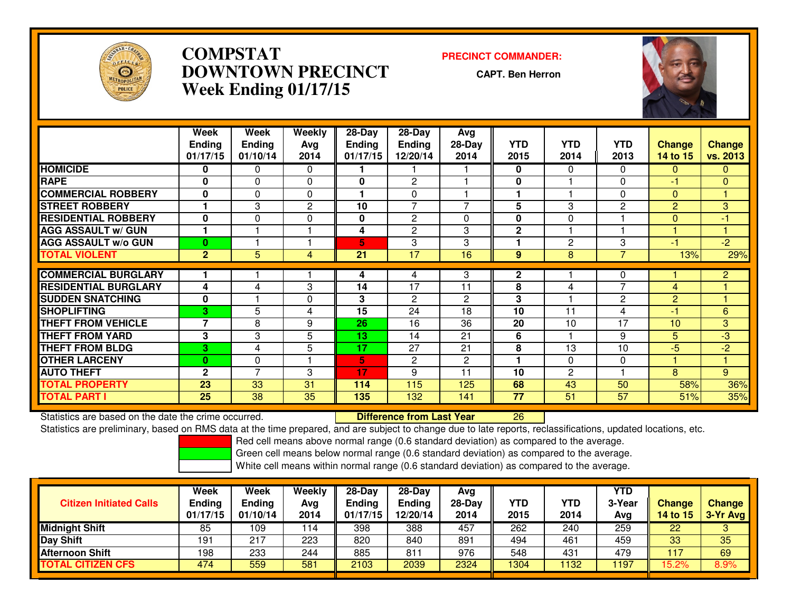

## **COMPSTAT PRECINCT COMMANDER: DOWNTOWN PRECINCTWeek Ending 01/17/15**

**CAPT. Ben Herron**



|                             | Week                     | Week           | <b>Weekly</b> | $28 - Day$    | 28-Day         | Avg          |              |                |                |                |                |
|-----------------------------|--------------------------|----------------|---------------|---------------|----------------|--------------|--------------|----------------|----------------|----------------|----------------|
|                             | <b>Ending</b>            | <b>Ending</b>  | Avg           | <b>Ending</b> | <b>Ending</b>  | $28-Day$     | <b>YTD</b>   | <b>YTD</b>     | <b>YTD</b>     | <b>Change</b>  | <b>Change</b>  |
|                             | 01/17/15                 | 01/10/14       | 2014          | 01/17/15      | 12/20/14       | 2014         | 2015         | 2014           | 2013           | 14 to 15       | vs. 2013       |
| <b>HOMICIDE</b>             | 0                        | 0              | $\Omega$      |               |                |              | 0            | $\mathbf{0}$   | $\Omega$       | $\Omega$       | $\mathbf{0}$   |
| <b>RAPE</b>                 | $\bf{0}$                 | $\Omega$       | $\Omega$      | $\bf{0}$      | 2              |              | 0            |                | $\Omega$       | -1             | $\Omega$       |
| <b>COMMERCIAL ROBBERY</b>   | $\bf{0}$                 | $\Omega$       | $\Omega$      |               | 0              |              |              |                | 0              | $\Omega$       |                |
| <b>STREET ROBBERY</b>       |                          | 3              | $\mathbf{2}$  | 10            | 7              | 7            | 5            | 3              | $\overline{2}$ | $\overline{2}$ | 3              |
| <b>RESIDENTIAL ROBBERY</b>  | $\mathbf 0$              | $\Omega$       | $\Omega$      | 0             | $\overline{c}$ | 0            | $\bf{0}$     | $\Omega$       |                | $\mathbf{0}$   | $-1$           |
| <b>AGG ASSAULT w/ GUN</b>   |                          |                |               | 4             | 2              | 3            | $\mathbf 2$  |                |                |                |                |
| <b>AGG ASSAULT w/o GUN</b>  | $\bf{0}$                 |                |               | 5.            | 3              | 3            |              | $\overline{2}$ | 3              | -1             | $\overline{2}$ |
| <b>TOTAL VIOLENT</b>        | $\overline{2}$           | 5              | 4             | 21            | 17             | 16           | 9            | 8              | $\overline{7}$ | 13%            | 29%            |
| <b>COMMERCIAL BURGLARY</b>  |                          |                |               | 4             | 4              | 3            | $\mathbf{2}$ |                | 0              |                | $\overline{2}$ |
| <b>RESIDENTIAL BURGLARY</b> | 4                        | 4              | 3             | 14            | 17             | 11           | 8            | 4              | $\overline{ }$ | 4              |                |
| <b>SUDDEN SNATCHING</b>     | $\mathbf 0$              |                | $\mathbf 0$   | 3             | $\overline{c}$ | $\mathbf{2}$ | 3            |                | 2              | $\overline{2}$ |                |
| <b>SHOPLIFTING</b>          | 3.                       | 5              | 4             | 15            | 24             | 18           | 10           | 11             | 4              | -1             | 6              |
| <b>THEFT FROM VEHICLE</b>   | $\overline{\phantom{a}}$ | 8              | 9             | 26            | 16             | 36           | 20           | 10             | 17             | 10             | 3              |
| <b>THEFT FROM YARD</b>      | 3                        | 3              | 5             | 13            | 14             | 21           | 6            |                | 9              | 5              | $-3$           |
| <b>THEFT FROM BLDG</b>      | 3                        | 4              | 5             | 17            | 27             | 21           | 8            | 13             | 10             | $-5$           | $-2$           |
| <b>OTHER LARCENY</b>        | $\bf{0}$                 | $\Omega$       |               | 5.            | 2              | 2            |              | $\Omega$       | 0              |                |                |
| <b>AUTO THEFT</b>           | $\mathbf{2}$             | $\overline{7}$ | 3             | 17            | 9              | 11           | 10           | $\overline{2}$ |                | 8              | 9              |
| <b>TOTAL PROPERTY</b>       | 23                       | 33             | 31            | 114           | 115            | 125          | 68           | 43             | 50             | 58%            | 36%            |
| <b>TOTAL PART I</b>         | 25                       | 38             | 35            | 135           | 132            | 141          | 77           | 51             | 57             | 51%            | 35%            |

Statistics are based on the date the crime occurred. **Difference from Last Year**  <sup>26</sup>Statistics are preliminary, based on RMS data at the time prepared, and are subject to change due to late reports, reclassifications, updated locations, etc.

Red cell means above normal range (0.6 standard deviation) as compared to the average.

Green cell means below normal range (0.6 standard deviation) as compared to the average.

| <b>Citizen Initiated Calls</b> | Week<br><b>Ending</b><br>01/17/15 | Week<br><b>Ending</b><br>01/10/14 | Weekly<br>Avg<br>2014 | $28-Dav$<br>Ending<br>01/17/15 | 28-Day<br><b>Ending</b><br>12/20/14 | Avg<br>$28$ -Day<br>2014 | YTD<br>2015 | YTD<br>2014 | <b>YTD</b><br>3-Year<br>Avg | Change<br>14 to 15 | <b>Change</b><br>3-Yr Avg |
|--------------------------------|-----------------------------------|-----------------------------------|-----------------------|--------------------------------|-------------------------------------|--------------------------|-------------|-------------|-----------------------------|--------------------|---------------------------|
| <b>Midnight Shift</b>          | 85                                | 109                               | 114                   | 398                            | 388                                 | 457                      | 262         | 240         | 259                         | 22                 |                           |
| <b>Day Shift</b>               | 191                               | 217                               | 223                   | 820                            | 840                                 | 891                      | 494         | 461         | 459                         | 33                 | 35                        |
| <b>Afternoon Shift</b>         | 198                               | 233                               | 244                   | 885                            | 811                                 | 976                      | 548         | 431         | 479                         | 117                | 69                        |
| <b>TOTAL CITIZEN CFS</b>       | 474                               | 559                               | 581                   | 2103                           | 2039                                | 2324                     | 1304        | 1132        | <b>197</b>                  | 15.2%              | 8.9%                      |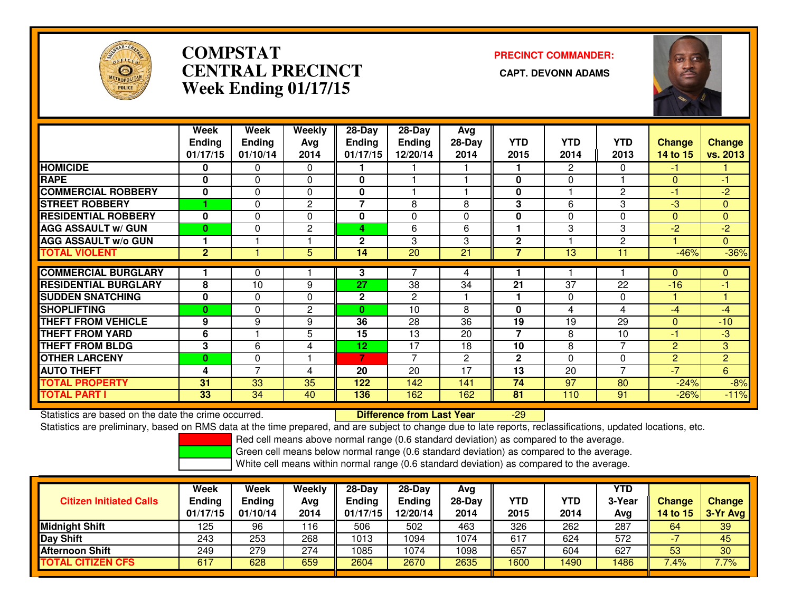

# **COMPSTATCENTRAL PRECINCT Week Ending 01/17/15**

**PRECINCT COMMANDER:**



|                             | Week           | Week           | Weekly         | 28-Day                   | $28$ -Day      | Avg          |              |                       |                |          |                |
|-----------------------------|----------------|----------------|----------------|--------------------------|----------------|--------------|--------------|-----------------------|----------------|----------|----------------|
|                             | <b>Ending</b>  | <b>Ending</b>  | Avg            | <b>Ending</b>            | <b>Ending</b>  | $28-Day$     | <b>YTD</b>   | <b>YTD</b>            | <b>YTD</b>     | Change   | <b>Change</b>  |
|                             | 01/17/15       | 01/10/14       | 2014           | 01/17/15                 | 12/20/14       | 2014         | 2015         | 2014                  | 2013           | 14 to 15 | vs. 2013       |
| <b>HOMICIDE</b>             | 0              | 0              | 0              |                          |                |              |              | $\mathbf{2}^{\prime}$ | 0              | $-1$     |                |
| <b>RAPE</b>                 | $\bf{0}$       | 0              | 0              | 0                        |                |              | 0            | 0                     |                | $\Omega$ | -1             |
| <b>COMMERCIAL ROBBERY</b>   | 0              | 0              | 0              | 0                        |                |              | 0            |                       | 2              | $-1$     | -2             |
| <b>STREET ROBBERY</b>       |                | 0              | 2              | $\overline{\phantom{a}}$ | 8              | 8            | 3            | 6                     | 3              | $-3$     | $\mathbf{0}$   |
| <b>RESIDENTIAL ROBBERY</b>  | $\bf{0}$       | $\Omega$       | $\Omega$       | 0                        | 0              | $\Omega$     | $\bf{0}$     | $\Omega$              | $\Omega$       | $\Omega$ | $\Omega$       |
| <b>AGG ASSAULT w/ GUN</b>   | $\bf{0}$       | 0              | $\overline{c}$ | 4                        | 6              | 6            |              | 3                     | 3              | $-2$     | $-2$           |
| <b>AGG ASSAULT w/o GUN</b>  |                |                |                | $\mathbf{2}$             | 3              | 3            | $\mathbf{2}$ |                       | $\mathbf{2}$   |          | $\mathbf{0}$   |
| <b>TOTAL VIOLENT</b>        | $\overline{2}$ |                | 5              | 14                       | 20             | 21           | 7            | 13                    | 11             | $-46%$   | $-36%$         |
|                             |                |                |                |                          |                |              |              |                       |                |          |                |
| <b>COMMERCIAL BURGLARY</b>  |                | 0              |                | 3                        | 7              | 4            |              |                       |                | $\Omega$ | $\mathbf{0}$   |
| <b>RESIDENTIAL BURGLARY</b> | 8              | 10             | 9              | 27                       | 38             | 34           | 21           | 37                    | 22             | $-16$    | -1             |
| <b>SUDDEN SNATCHING</b>     | $\bf{0}$       | 0              | $\Omega$       | $\mathbf{2}$             | $\overline{2}$ |              |              | $\Omega$              | $\Omega$       |          |                |
| <b>SHOPLIFTING</b>          | $\bf{0}$       | $\Omega$       | $\mathbf{2}$   | $\bf{0}$                 | 10             | 8            | $\bf{0}$     | 4                     | 4              | -4       | -4             |
| <b>THEFT FROM VEHICLE</b>   | 9              | 9              | 9              | 36                       | 28             | 36           | 19           | 19                    | 29             | $\Omega$ | $-10$          |
| <b>THEFT FROM YARD</b>      | 6              |                | 5              | 15                       | 13             | 20           | 7            | 8                     | 10             | $-1$     | -3             |
| <b>THEFT FROM BLDG</b>      | 3              | 6              | 4              | 12                       | 17             | 18           | 10           | 8                     | $\overline{7}$ | 2        | 3              |
| <b>OTHER LARCENY</b>        | $\bf{0}$       | 0              |                | 7                        | $\overline{7}$ | $\mathbf{2}$ | $\mathbf{2}$ | $\Omega$              | $\Omega$       | 2        | $\overline{2}$ |
| <b>AUTO THEFT</b>           | 4              | $\overline{7}$ | 4              | 20                       | 20             | 17           | 13           | 20                    | $\overline{7}$ | $-7$     | 6              |
| <b>TOTAL PROPERTY</b>       | 31             | 33             | 35             | 122                      | 142            | 141          | 74           | 97                    | 80             | $-24%$   | $-8%$          |
| <b>TOTAL PART I</b>         | 33             | 34             | 40             | 136                      | 162            | 162          | 81           | 110                   | 91             | $-26%$   | $-11%$         |

Statistics are based on the date the crime occurred. **Difference from Last Year** 

Statistics are based on the date the crime occurred.<br>Statistics are preliminary, based on RMS data at the time prepared, and are subject to change due to late reports, reclassifications, updated locations, etc.

Red cell means above normal range (0.6 standard deviation) as compared to the average.

Green cell means below normal range (0.6 standard deviation) as compared to the average.

| <b>Citizen Initiated Calls</b> | Week<br><b>Ending</b><br>01/17/15 | Week<br><b>Ending</b><br>01/10/14 | Weekly<br>Avg<br>2014 | 28-Day<br><b>Ending</b><br>01/17/15 | $28-Dav$<br><b>Ending</b><br>12/20/14 | Ava<br>$28-Day$<br>2014 | <b>YTD</b><br>2015 | YTD<br>2014 | YTD<br>3-Year<br>Avg | <b>Change</b><br>14 to 15 | <b>Change</b><br>3-Yr Avg |
|--------------------------------|-----------------------------------|-----------------------------------|-----------------------|-------------------------------------|---------------------------------------|-------------------------|--------------------|-------------|----------------------|---------------------------|---------------------------|
| Midnight Shift                 | 125                               | 96                                | 116                   | 506                                 | 502                                   | 463                     | 326                | 262         | 287                  | 64                        | 39                        |
| Day Shift                      | 243                               | 253                               | 268                   | 1013                                | 094                                   | 1074                    | 617                | 624         | 572                  |                           | 45                        |
| Afternoon Shift                | 249                               | 279                               | 274                   | 1085                                | 1074                                  | 1098                    | 657                | 604         | 627                  | 53                        | 30                        |
| <b>TOTAL CITIZEN CFS</b>       | 617                               | 628                               | 659                   | 2604                                | 2670                                  | 2635                    | 1600               | 1490        | 1486                 | 7.4%                      | 7.7%                      |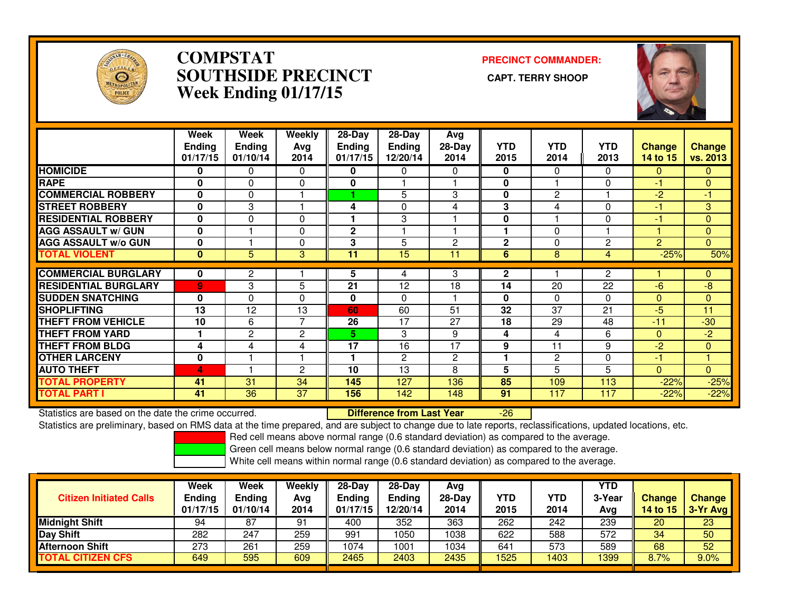

### **COMPSTAT PRECINCT COMMANDER: SOUTHSIDE PRECINCT CAPT. TERRY SHOOPWeek Ending 01/17/15**



|                             | Week<br><b>Ending</b><br>01/17/15 | Week<br><b>Ending</b><br>01/10/14 | Weekly<br>Avg<br>2014 | $28-Day$<br><b>Ending</b><br>01/17/15 | $28-Day$<br>Ending<br>12/20/14 | Avg<br>$28-Day$<br>2014 | <b>YTD</b><br>2015 | <b>YTD</b><br>2014 | <b>YTD</b><br>2013 | <b>Change</b><br><b>14 to 15</b> | <b>Change</b><br><b>vs. 2013</b> |
|-----------------------------|-----------------------------------|-----------------------------------|-----------------------|---------------------------------------|--------------------------------|-------------------------|--------------------|--------------------|--------------------|----------------------------------|----------------------------------|
| <b>HOMICIDE</b>             | $\mathbf{0}$                      | 0                                 | $\Omega$              | 0                                     | 0                              | 0                       | 0                  | $\Omega$           | $\Omega$           | $\Omega$                         | 0                                |
| <b>RAPE</b>                 | $\Omega$                          | 0                                 | 0                     | $\bf{0}$                              |                                |                         | 0                  |                    | $\Omega$           | -1                               | $\Omega$                         |
| <b>COMMERCIAL ROBBERY</b>   | $\bf{0}$                          | $\Omega$                          |                       |                                       | 5                              | 3                       | 0                  | 2                  |                    | $-2$                             | $-1$                             |
| <b>STREET ROBBERY</b>       | $\bf{0}$                          | 3                                 |                       | 4                                     | 0                              | 4                       | 3                  | 4                  | $\Omega$           | -1                               | 3                                |
| <b>RESIDENTIAL ROBBERY</b>  | $\mathbf{0}$                      | 0                                 | $\Omega$              |                                       | 3                              |                         | 0                  |                    | $\Omega$           | -1                               | $\Omega$                         |
| <b>AGG ASSAULT w/ GUN</b>   | $\mathbf 0$                       |                                   | 0                     | 2                                     |                                |                         |                    | 0                  |                    |                                  | $\mathbf{0}$                     |
| <b>AGG ASSAULT w/o GUN</b>  | $\bf{0}$                          |                                   | $\Omega$              | 3                                     | 5                              | $\overline{c}$          | $\mathbf{2}$       | 0                  | 2                  | $\overline{2}$                   | $\Omega$                         |
| <b>TOTAL VIOLENT</b>        | $\mathbf{0}$                      | 5                                 | 3                     | 11                                    | 15                             | 11                      | 6                  | 8                  | 4                  | $-25%$                           | 50%                              |
| <b>COMMERCIAL BURGLARY</b>  | 0                                 | 2                                 |                       | 5                                     | 4                              | 3                       | $\mathbf{2}$       |                    | 2                  |                                  | $\mathbf{0}$                     |
| <b>RESIDENTIAL BURGLARY</b> |                                   |                                   | 5                     | 21                                    | 12                             | 18                      | 14                 | $\overline{20}$    | 22                 | $-6$                             | $-8$                             |
|                             | 9                                 | 3                                 |                       |                                       |                                |                         |                    |                    |                    |                                  |                                  |
| <b>SUDDEN SNATCHING</b>     | $\bf{0}$                          | 0                                 | $\Omega$              | 0                                     | $\Omega$                       |                         | 0                  | 0                  | $\Omega$           | $\Omega$                         | $\mathbf{0}$                     |
| <b>SHOPLIFTING</b>          | 13                                | 12                                | 13                    | 60                                    | 60                             | 51                      | 32                 | 37                 | 21                 | $-5$                             | 11                               |
| <b>THEFT FROM VEHICLE</b>   | 10                                | 6                                 | 7                     | 26                                    | 17                             | 27                      | 18                 | 29                 | 48                 | $-11$                            | $-30$                            |
| <b>THEFT FROM YARD</b>      |                                   | $\overline{2}$                    | $\overline{2}$        | 5.                                    | 3                              | 9                       | 4                  | 4                  | 6                  | $\Omega$                         | $-2$                             |
| <b>THEFT FROM BLDG</b>      | 4                                 | 4                                 | 4                     | 17                                    | 16                             | 17                      | 9                  | 11                 | 9                  | $-2$                             | $\Omega$                         |
| <b>OTHER LARCENY</b>        | $\mathbf 0$                       |                                   |                       |                                       | $\mathbf{2}$                   | $\overline{c}$          |                    | $\mathbf{2}$       | $\Omega$           | -1                               |                                  |
| <b>AUTO THEFT</b>           | 4                                 |                                   | $\overline{c}$        | 10                                    | 13                             | 8                       | 5                  | 5                  | 5                  | $\overline{0}$                   | $\Omega$                         |
| <b>TOTAL PROPERTY</b>       | 41                                | 31                                | 34                    | 145                                   | 127                            | 136                     | 85                 | 109                | 113                | $-22%$                           | $-25%$                           |
| <b>TOTAL PART I</b>         | 41                                | 36                                | 37                    | 156                                   | 142                            | 148                     | 91                 | 117                | 117                | $-22%$                           | $-22%$                           |

Statistics are based on the date the crime occurred. **Difference from Last Year** 

Statistics are based on the date the crime occurred. **Externee the Luit of Lifterence from Last Year Theoren 1**<br>Statistics are preliminary, based on RMS data at the time prepared, and are subject to change due to late repo

Red cell means above normal range (0.6 standard deviation) as compared to the average.

Green cell means below normal range (0.6 standard deviation) as compared to the average.

| <b>Citizen Initiated Calls</b> | Week<br><b>Ending</b><br>01/17/15 | Week<br>Ending<br>01/10/14 | <b>Weekly</b><br>Avg<br>2014 | $28-Dav$<br><b>Ending</b><br>01/17/15 | $28 - Day$<br><b>Ending</b><br>12/20/14 | Ava<br>28-Dav<br>2014 | YTD<br>2015 | YTD<br>2014 | <b>YTD</b><br>3-Year<br>Avg | <b>Change</b><br>14 to 15 | <b>Change</b><br>$\sqrt{3-Yr}$ Avg |
|--------------------------------|-----------------------------------|----------------------------|------------------------------|---------------------------------------|-----------------------------------------|-----------------------|-------------|-------------|-----------------------------|---------------------------|------------------------------------|
| <b>Midnight Shift</b>          | 94                                | 87                         | 91                           | 400                                   | 352                                     | 363                   | 262         | 242         | 239                         | 20                        | 23                                 |
| <b>Day Shift</b>               | 282                               | 247                        | 259                          | 991                                   | 1050                                    | 1038                  | 622         | 588         | 572                         | 34                        | 50                                 |
| <b>Afternoon Shift</b>         | 273                               | 261                        | 259                          | 1074                                  | 1001                                    | 1034                  | 641         | 573         | 589                         | 68                        | 52                                 |
| <b>TOTAL CITIZEN CFS</b>       | 649                               | 595                        | 609                          | 2465                                  | 2403                                    | 2435                  | 525         | 1403        | 1399                        | 8.7%                      | 9.0%                               |